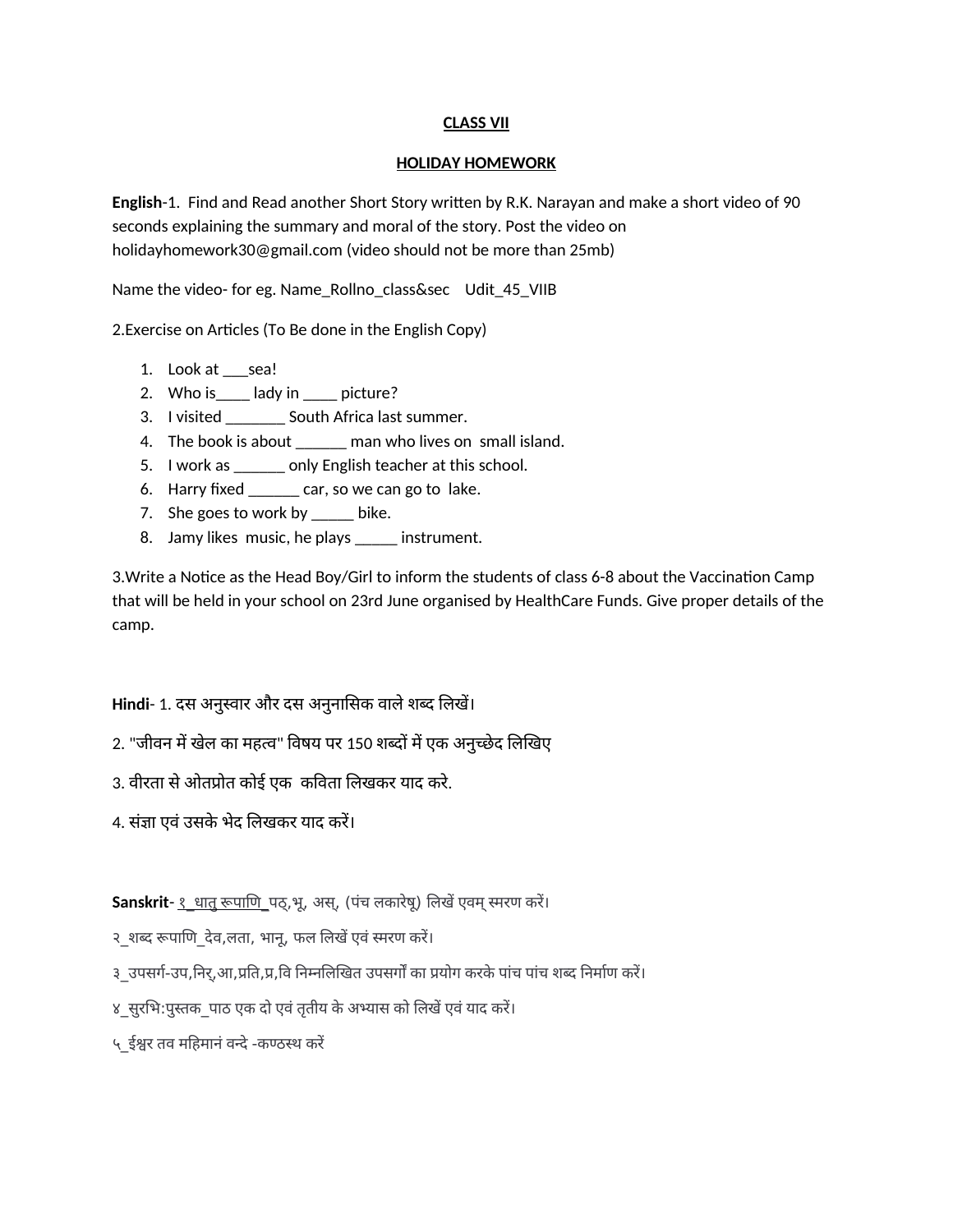# **CLASS VII**

### **HOLIDAY HOMEWORK**

**English-1.** Find and Read another Short Story written by R.K. Narayan and make a short video of 90 seconds explaining the summary and moral of the story. Post the video on holidayhomework30@gmail.com (video should not be more than 25mb)

Name the video- for eg. Name\_Rollno\_class&sec Udit\_45\_VIIB

2. Exercise on Articles (To Be done in the English Copy)

- 1. Look at \_\_\_sea!
- 2. Who is\_edged in electure?
- 3. I visited \_\_\_\_\_\_\_ South Africa last summer.
- 4. The book is about \_\_\_\_\_\_ man who lives on small island.
- 5. I work as \_\_\_\_\_\_ only English teacher at this school.
- 6. Harry fixed \_\_\_\_\_\_ car, so we can go to lake.
- 7. She goes to work by  $\frac{1}{\sqrt{2}}$  bike.
- 8. Jamy likes music, he plays \_\_\_\_\_ instrument.

3. Write a Notice as the Head Boy/Girl to inform the students of class 6-8 about the Vaccination Camp that will be held in your school on 23rd June organised by HealthCare Funds. Give proper details of the camp.

**Hindi**- 1. दस अनुसवार और दस अनुनाससक वाले शबद सलखे।

- 2. "जीवन में खेल का महत्व" विषय पर 150 शब्दों में एक अनुच्छेद लिखिए
- 3. वीरता से ओतपोत कोई एक कववता सलखकर याद करे .
- 4. संजा एवं उसके भेद सलखकर याद करे।

**Sanskrit**- १ धातु रूपाणि पठ्,भू, अस्, (पंच लकारेषू) लिखें एवम् स्मरण करें।

२ शब्द रूपाणि देव,लता, भानू, फल लिखें एवं स्मरण करें।

३ उपसर्ग-उप,निर्,आ,प्रति,प्र,वि निम्नलिखित उपसर्गों का प्रयोग करके पांच पांच शब्द निर्माण करें।

४ सुरभि:पुस्तक पाठ एक दो एवं तृतीय के अभ्यास को लिखें एवं याद करें।

५\_ईश्वर तव मनहिमानं वनदे -कण्ठ्मथ करें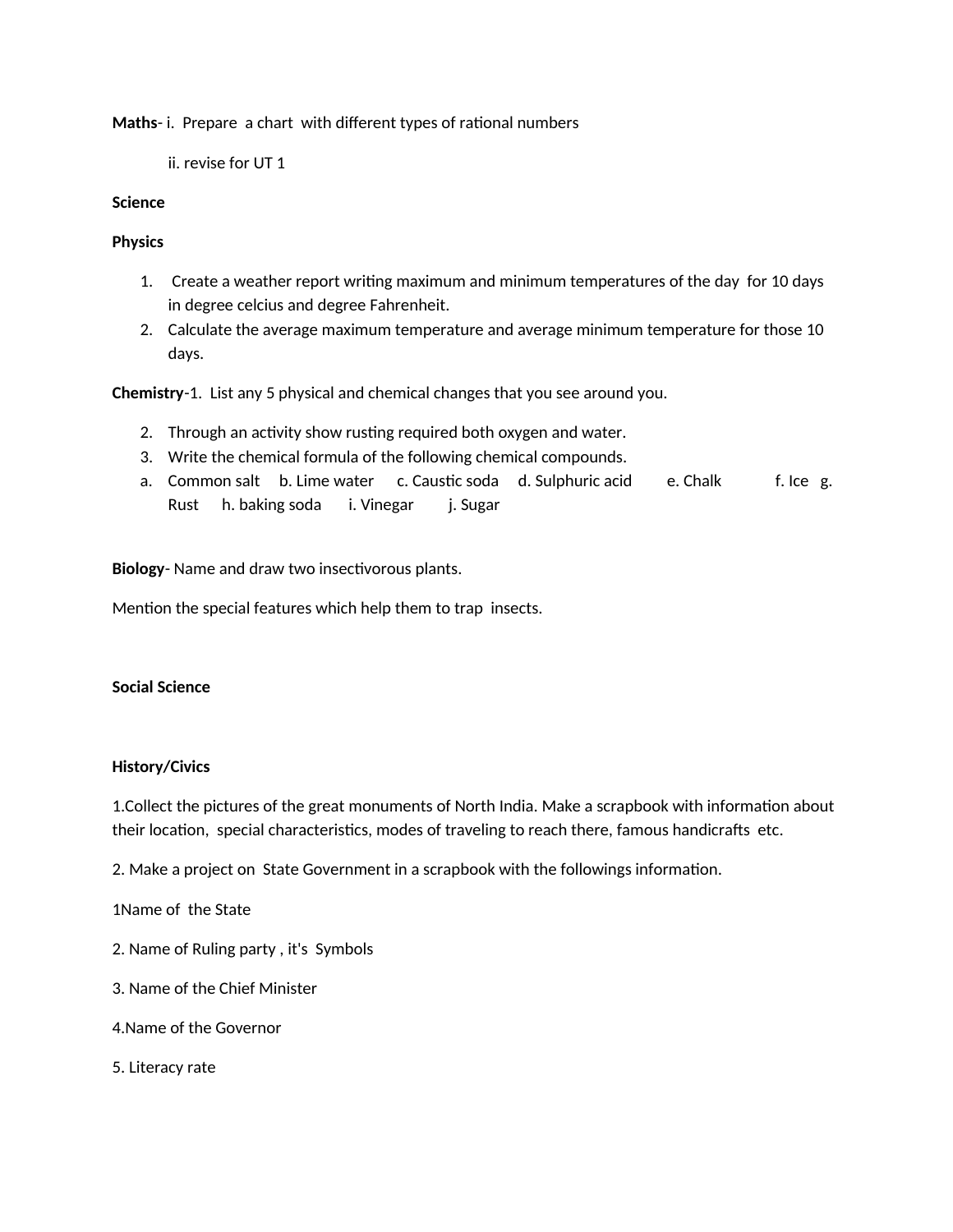**Maths-i.** Prepare a chart with different types of rational numbers

ii. revise for UT 1

### **Science**

### **Physics**

- 1. Create a weather report writng maximum and minimum temperatures of the day for 10 days in degree celcius and degree Fahrenheit.
- 2. Calculate the average maximum temperature and average minimum temperature for those 10 days.

**Chemistry**-1. List any 5 physical and chemical changes that you see around you.

- 2. Through an activity show rusting required both oxygen and water.
- 3. Write the chemical formula of the following chemical compounds.
- a. Common salt b. Lime water c. Caustic soda d. Sulphuric acid e. Chalk f. Ice g. Rust h. baking soda i. Vinegar j. Sugar

Biology- Name and draw two insectivorous plants.

Mention the special features which help them to trap insects.

#### **Social Science**

## **History/Civics**

1. Collect the pictures of the great monuments of North India. Make a scrapbook with information about their location, special characteristics, modes of traveling to reach there, famous handicrafts etc.

2. Make a project on State Government in a scrapbook with the followings information.

1Name of the State

- 2. Name of Ruling party, it's Symbols
- 3. Name of the Chief Minister
- 4.Name of the Governor
- 5. Literacy rate